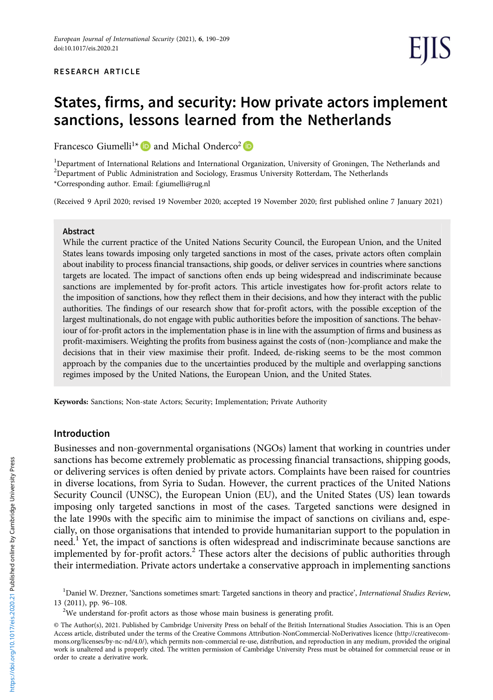# States, firms, and security: How private actors implement sanctions, lessons learned from the Netherlands

Francesco Giumelli<sup>1\*</sup>  $\bullet$  and Michal Onderco<sup>2</sup>  $\bullet$ 

<sup>1</sup>Department of International Relations and International Organization, University of Groningen, The Netherlands and <sup>2</sup>Department of Public Administration and Sociology, Erasmus University Rotterdam, The Netherlands \*Corresponding author. Email: [f.giumelli@rug.nl](mailto:f.giumelli@rug.nl)

(Received 9 April 2020; revised 19 November 2020; accepted 19 November 2020; first published online 7 January 2021)

#### Abstract

While the current practice of the United Nations Security Council, the European Union, and the United States leans towards imposing only targeted sanctions in most of the cases, private actors often complain about inability to process financial transactions, ship goods, or deliver services in countries where sanctions targets are located. The impact of sanctions often ends up being widespread and indiscriminate because sanctions are implemented by for-profit actors. This article investigates how for-profit actors relate to the imposition of sanctions, how they reflect them in their decisions, and how they interact with the public authorities. The findings of our research show that for-profit actors, with the possible exception of the largest multinationals, do not engage with public authorities before the imposition of sanctions. The behaviour of for-profit actors in the implementation phase is in line with the assumption of firms and business as profit-maximisers. Weighting the profits from business against the costs of (non-)compliance and make the decisions that in their view maximise their profit. Indeed, de-risking seems to be the most common approach by the companies due to the uncertainties produced by the multiple and overlapping sanctions regimes imposed by the United Nations, the European Union, and the United States.

Keywords: Sanctions; Non-state Actors; Security; Implementation; Private Authority

## Introduction

Businesses and non-governmental organisations (NGOs) lament that working in countries under sanctions has become extremely problematic as processing financial transactions, shipping goods, or delivering services is often denied by private actors. Complaints have been raised for countries in diverse locations, from Syria to Sudan. However, the current practices of the United Nations Security Council (UNSC), the European Union (EU), and the United States (US) lean towards imposing only targeted sanctions in most of the cases. Targeted sanctions were designed in the late 1990s with the specific aim to minimise the impact of sanctions on civilians and, especially, on those organisations that intended to provide humanitarian support to the population in need.<sup>1</sup> Yet, the impact of sanctions is often widespread and indiscriminate because sanctions are implemented by for-profit actors.<sup>2</sup> These actors alter the decisions of public authorities through their intermediation. Private actors undertake a conservative approach in implementing sanctions

<sup>&</sup>lt;sup>1</sup>Daniel W. Drezner, 'Sanctions sometimes smart: Targeted sanctions in theory and practice', International Studies Review, 13 (2011), pp. 96–108. <sup>2</sup>

 $2$ We understand for-profit actors as those whose main business is generating profit.

<sup>©</sup> The Author(s), 2021. Published by Cambridge University Press on behalf of the British International Studies Association. This is an Open Access article, distributed under the terms of the Creative Commons Attribution-NonCommercial-NoDerivatives licence [\(http://creativecom](http://creativecommons.org/licenses/by-nc-nd/4.0/)[mons.org/licenses/by-nc-nd/4.0/\)](http://creativecommons.org/licenses/by-nc-nd/4.0/), which permits non-commercial re-use, distribution, and reproduction in any medium, provided the original work is unaltered and is properly cited. The written permission of Cambridge University Press must be obtained for commercial reuse or in order to create a derivative work.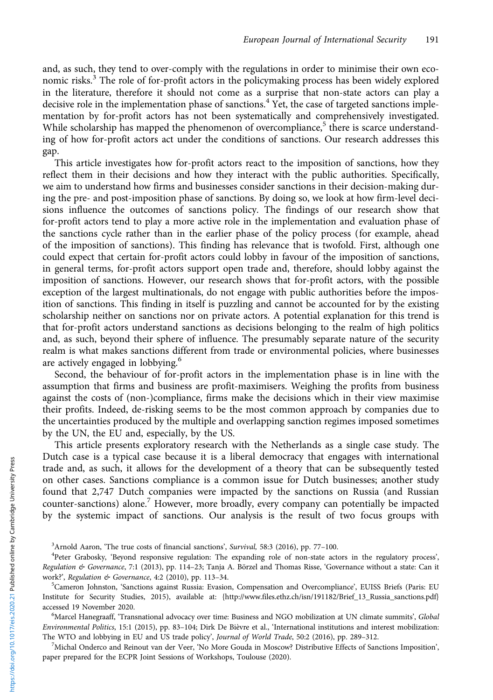and, as such, they tend to over-comply with the regulations in order to minimise their own economic risks.<sup>3</sup> The role of for-profit actors in the policymaking process has been widely explored in the literature, therefore it should not come as a surprise that non-state actors can play a decisive role in the implementation phase of sanctions.<sup>4</sup> Yet, the case of targeted sanctions implementation by for-profit actors has not been systematically and comprehensively investigated. While scholarship has mapped the phenomenon of overcompliance, $5$  there is scarce understanding of how for-profit actors act under the conditions of sanctions. Our research addresses this gap.

This article investigates how for-profit actors react to the imposition of sanctions, how they reflect them in their decisions and how they interact with the public authorities. Specifically, we aim to understand how firms and businesses consider sanctions in their decision-making during the pre- and post-imposition phase of sanctions. By doing so, we look at how firm-level decisions influence the outcomes of sanctions policy. The findings of our research show that for-profit actors tend to play a more active role in the implementation and evaluation phase of the sanctions cycle rather than in the earlier phase of the policy process (for example, ahead of the imposition of sanctions). This finding has relevance that is twofold. First, although one could expect that certain for-profit actors could lobby in favour of the imposition of sanctions, in general terms, for-profit actors support open trade and, therefore, should lobby against the imposition of sanctions. However, our research shows that for-profit actors, with the possible exception of the largest multinationals, do not engage with public authorities before the imposition of sanctions. This finding in itself is puzzling and cannot be accounted for by the existing scholarship neither on sanctions nor on private actors. A potential explanation for this trend is that for-profit actors understand sanctions as decisions belonging to the realm of high politics and, as such, beyond their sphere of influence. The presumably separate nature of the security realm is what makes sanctions different from trade or environmental policies, where businesses are actively engaged in lobbying.<sup>6</sup>

Second, the behaviour of for-profit actors in the implementation phase is in line with the assumption that firms and business are profit-maximisers. Weighing the profits from business against the costs of (non-)compliance, firms make the decisions which in their view maximise their profits. Indeed, de-risking seems to be the most common approach by companies due to the uncertainties produced by the multiple and overlapping sanction regimes imposed sometimes by the UN, the EU and, especially, by the US.

This article presents exploratory research with the Netherlands as a single case study. The Dutch case is a typical case because it is a liberal democracy that engages with international trade and, as such, it allows for the development of a theory that can be subsequently tested on other cases. Sanctions compliance is a common issue for Dutch businesses; another study found that 2,747 Dutch companies were impacted by the sanctions on Russia (and Russian counter-sanctions) alone.<sup>7</sup> However, more broadly, every company can potentially be impacted by the systemic impact of sanctions. Our analysis is the result of two focus groups with

 $^7$ Michal Onderco and Reinout van der Veer, 'No More Gouda in Moscow? Distributive Effects of Sanctions Imposition', paper prepared for the ECPR Joint Sessions of Workshops, Toulouse (2020).

 $3$ Arnold Aaron, 'The true costs of financial sanctions', *Survival*, 58:3 (2016), pp. 77–100.<br> $4$ Peter Grabosky. 'Beyond responsive regulation: The expanding role of pop-state act

Peter Grabosky, 'Beyond responsive regulation: The expanding role of non-state actors in the regulatory process', Regulation & Governance, 7:1 (2013), pp. 114-23; Tanja A. Börzel and Thomas Risse, 'Governance without a state: Can it work?', Regulation & Governance, 4:2 (2010), pp. 113-34.

<sup>&</sup>lt;sup>5</sup>Cameron Johnston, 'Sanctions against Russia: Evasion, Compensation and Overcompliance', EUISS Briefs (Paris: EU Institute for Security Studies, 2015), available at: [{http://www.files.ethz.ch/isn/191182/Brief\\_13\\_Russia\\_sanctions.pdf}](http://www.files.ethz.ch/isn/191182/Brief_13_Russia_sanctions.pdf) accessed 19 November 2020.

<sup>&</sup>lt;sup>6</sup>Marcel Hanegraaff, 'Transnational advocacy over time: Business and NGO mobilization at UN climate summits', Global Environmental Politics, 15:1 (2015), pp. 83–104; Dirk De Bièvre et al., 'International institutions and interest mobilization: The WTO and lobbying in EU and US trade policy', Journal of World Trade, 50:2 (2016), pp. 289-312.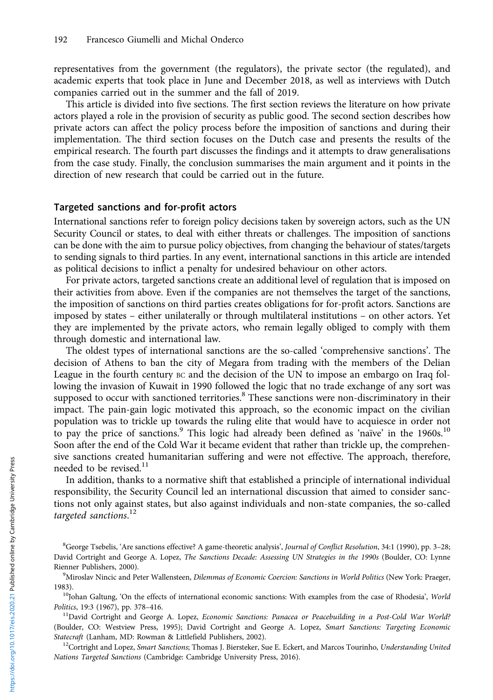representatives from the government (the regulators), the private sector (the regulated), and academic experts that took place in June and December 2018, as well as interviews with Dutch companies carried out in the summer and the fall of 2019.

This article is divided into five sections. The first section reviews the literature on how private actors played a role in the provision of security as public good. The second section describes how private actors can affect the policy process before the imposition of sanctions and during their implementation. The third section focuses on the Dutch case and presents the results of the empirical research. The fourth part discusses the findings and it attempts to draw generalisations from the case study. Finally, the conclusion summarises the main argument and it points in the direction of new research that could be carried out in the future.

# Targeted sanctions and for-profit actors

International sanctions refer to foreign policy decisions taken by sovereign actors, such as the UN Security Council or states, to deal with either threats or challenges. The imposition of sanctions can be done with the aim to pursue policy objectives, from changing the behaviour of states/targets to sending signals to third parties. In any event, international sanctions in this article are intended as political decisions to inflict a penalty for undesired behaviour on other actors.

For private actors, targeted sanctions create an additional level of regulation that is imposed on their activities from above. Even if the companies are not themselves the target of the sanctions, the imposition of sanctions on third parties creates obligations for for-profit actors. Sanctions are imposed by states – either unilaterally or through multilateral institutions – on other actors. Yet they are implemented by the private actors, who remain legally obliged to comply with them through domestic and international law.

The oldest types of international sanctions are the so-called 'comprehensive sanctions'. The decision of Athens to ban the city of Megara from trading with the members of the Delian League in the fourth century BC and the decision of the UN to impose an embargo on Iraq following the invasion of Kuwait in 1990 followed the logic that no trade exchange of any sort was supposed to occur with sanctioned territories.<sup>8</sup> These sanctions were non-discriminatory in their impact. The pain-gain logic motivated this approach, so the economic impact on the civilian population was to trickle up towards the ruling elite that would have to acquiesce in order not to pay the price of sanctions.<sup>9</sup> This logic had already been defined as 'naïve' in the  $1960s$ .<sup>10</sup> Soon after the end of the Cold War it became evident that rather than trickle up, the comprehensive sanctions created humanitarian suffering and were not effective. The approach, therefore, needed to be revised.<sup>11</sup>

In addition, thanks to a normative shift that established a principle of international individual responsibility, the Security Council led an international discussion that aimed to consider sanctions not only against states, but also against individuals and non-state companies, the so-called targeted sanctions.<sup>12</sup>

1983).<br><sup>10</sup>Johan Galtung, 'On the effects of international economic sanctions: With examples from the case of Rhodesia', World<br>*Politics*, 19:3 (1967), pp. 378–416.

<sup>11</sup>David Cortright and George A. Lopez, Economic Sanctions: Panacea or Peacebuilding in a Post-Cold War World? (Boulder, CO: Westview Press, 1995); David Cortright and George A. Lopez, Smart Sanctions: Targeting Economic Statecraft (Lanham, MD: Rowman & Littlefield Publishers, 2002).<br><sup>12</sup>Cortright and Lopez, Smart Sanctions; Thomas J. Biersteker, Sue E. Eckert, and Marcos Tourinho, Understanding United

Nations Targeted Sanctions (Cambridge: Cambridge University Press, 2016).

<sup>&</sup>lt;sup>8</sup>George Tsebelis, 'Are sanctions effective? A game-theoretic analysis', Journal of Conflict Resolution, 34:1 (1990), pp. 3-28; David Cortright and George A. Lopez, The Sanctions Decade: Assessing UN Strategies in the 1990s (Boulder, CO: Lynne Rienner Publishers, 2000).

<sup>&</sup>lt;sup>9</sup>Miroslav Nincic and Peter Wallensteen, Dilemmas of Economic Coercion: Sanctions in World Politics (New York: Praeger,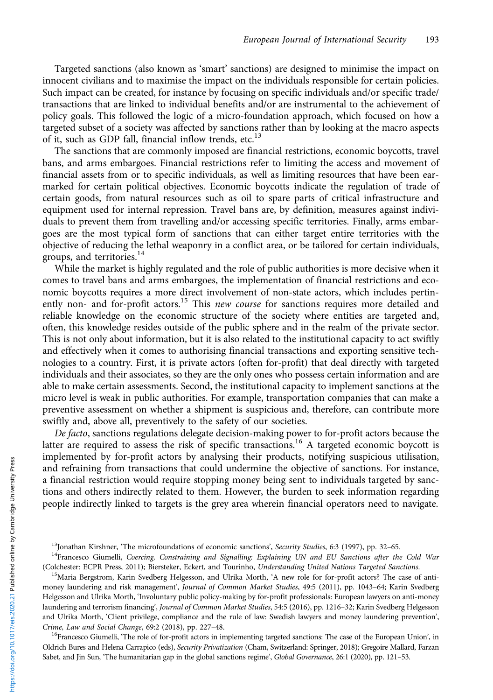Targeted sanctions (also known as 'smart' sanctions) are designed to minimise the impact on innocent civilians and to maximise the impact on the individuals responsible for certain policies. Such impact can be created, for instance by focusing on specific individuals and/or specific trade/ transactions that are linked to individual benefits and/or are instrumental to the achievement of policy goals. This followed the logic of a micro-foundation approach, which focused on how a targeted subset of a society was affected by sanctions rather than by looking at the macro aspects of it, such as GDP fall, financial inflow trends, etc.<sup>13</sup>

The sanctions that are commonly imposed are financial restrictions, economic boycotts, travel bans, and arms embargoes. Financial restrictions refer to limiting the access and movement of financial assets from or to specific individuals, as well as limiting resources that have been earmarked for certain political objectives. Economic boycotts indicate the regulation of trade of certain goods, from natural resources such as oil to spare parts of critical infrastructure and equipment used for internal repression. Travel bans are, by definition, measures against individuals to prevent them from travelling and/or accessing specific territories. Finally, arms embargoes are the most typical form of sanctions that can either target entire territories with the objective of reducing the lethal weaponry in a conflict area, or be tailored for certain individuals, groups, and territories.<sup>14</sup>

While the market is highly regulated and the role of public authorities is more decisive when it comes to travel bans and arms embargoes, the implementation of financial restrictions and economic boycotts requires a more direct involvement of non-state actors, which includes pertinently non- and for-profit actors.<sup>15</sup> This *new course* for sanctions requires more detailed and reliable knowledge on the economic structure of the society where entities are targeted and, often, this knowledge resides outside of the public sphere and in the realm of the private sector. This is not only about information, but it is also related to the institutional capacity to act swiftly and effectively when it comes to authorising financial transactions and exporting sensitive technologies to a country. First, it is private actors (often for-profit) that deal directly with targeted individuals and their associates, so they are the only ones who possess certain information and are able to make certain assessments. Second, the institutional capacity to implement sanctions at the micro level is weak in public authorities. For example, transportation companies that can make a preventive assessment on whether a shipment is suspicious and, therefore, can contribute more swiftly and, above all, preventively to the safety of our societies.

De facto, sanctions regulations delegate decision-making power to for-profit actors because the latter are required to assess the risk of specific transactions.<sup>16</sup> A targeted economic boycott is implemented by for-profit actors by analysing their products, notifying suspicious utilisation, and refraining from transactions that could undermine the objective of sanctions. For instance, a financial restriction would require stopping money being sent to individuals targeted by sanctions and others indirectly related to them. However, the burden to seek information regarding people indirectly linked to targets is the grey area wherein financial operators need to navigate.

money laundering and risk management', Journal of Common Market Studies, 49:5 (2011), pp. 1043-64; Karin Svedberg Helgesson and Ulrika Morth, 'Involuntary public policy-making by for-profit professionals: European lawyers on anti-money laundering and terrorism financing', Journal of Common Market Studies, 54:5 (2016), pp. 1216-32; Karin Svedberg Helgesson and Ulrika Morth, 'Client privilege, compliance and the rule of law: Swedish lawyers and money laundering prevention', Crime, Law and Social Change, 69:2 (2018), pp. 227–48.<br><sup>16</sup>Francesco Giumelli, 'The role of for-profit actors in implementing targeted sanctions: The case of the European Union', in

Oldrich Bures and Helena Carrapico (eds), Security Privatization (Cham, Switzerland: Springer, 2018); Gregoire Mallard, Farzan Sabet, and Jin Sun, 'The humanitarian gap in the global sanctions regime', Global Governance, 26:1 (2020), pp. 121-53.

<sup>&</sup>lt;sup>13</sup>Jonathan Kirshner, 'The microfoundations of economic sanctions', Security Studies, 6:3 (1997), pp. 32–65. 14Francesco Giumelli, Coercing, Constraining and Signalling: Explaining UN and EU Sanctions after the Cold War (Colchester: ECPR Press, 2011); Biersteker, Eckert, and Tourinho, Understanding United Nations Targeted Sanctions.<br><sup>15</sup>Maria Bergstrom, Karin Svedberg Helgesson, and Ulrika Morth, 'A new role for for-profit actors? The cas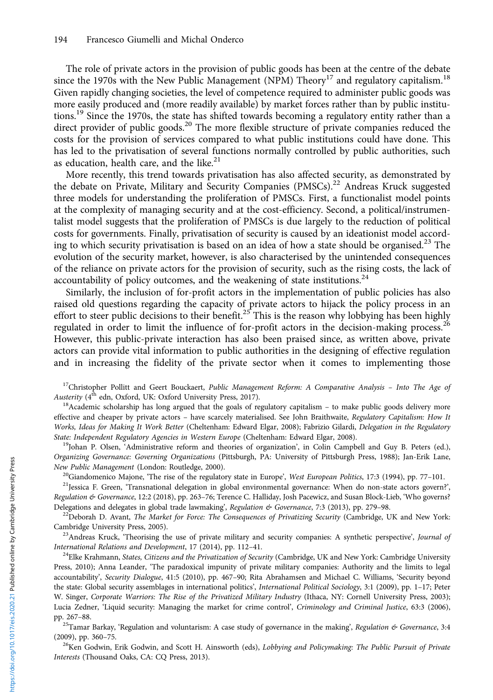The role of private actors in the provision of public goods has been at the centre of the debate since the 1970s with the New Public Management (NPM) Theory<sup>17</sup> and regulatory capitalism.<sup>18</sup> Given rapidly changing societies, the level of competence required to administer public goods was more easily produced and (more readily available) by market forces rather than by public institutions.<sup>19</sup> Since the 1970s, the state has shifted towards becoming a regulatory entity rather than a direct provider of public goods.<sup>20</sup> The more flexible structure of private companies reduced the costs for the provision of services compared to what public institutions could have done. This has led to the privatisation of several functions normally controlled by public authorities, such as education, health care, and the like.<sup>21</sup>

More recently, this trend towards privatisation has also affected security, as demonstrated by the debate on Private, Military and Security Companies (PMSCs).<sup>22</sup> Andreas Kruck suggested three models for understanding the proliferation of PMSCs. First, a functionalist model points at the complexity of managing security and at the cost-efficiency. Second, a political/instrumentalist model suggests that the proliferation of PMSCs is due largely to the reduction of political costs for governments. Finally, privatisation of security is caused by an ideationist model according to which security privatisation is based on an idea of how a state should be organised.<sup>23</sup> The evolution of the security market, however, is also characterised by the unintended consequences of the reliance on private actors for the provision of security, such as the rising costs, the lack of accountability of policy outcomes, and the weakening of state institutions.<sup>24</sup>

Similarly, the inclusion of for-profit actors in the implementation of public policies has also raised old questions regarding the capacity of private actors to hijack the policy process in an effort to steer public decisions to their benefit.<sup>25</sup> This is the reason why lobbying has been highly regulated in order to limit the influence of for-profit actors in the decision-making process.<sup>26</sup> However, this public-private interaction has also been praised since, as written above, private actors can provide vital information to public authorities in the designing of effective regulation and in increasing the fidelity of the private sector when it comes to implementing those

<sup>17</sup>Christopher Pollitt and Geert Bouckaert, *Public Management Reform: A Comparative Analysis - Into The Age of Austerity* ( $4<sup>th</sup>$  edn, Oxford, UK: Oxford University Press, 2017).

 $18$ Academic scholarship has long argued that the goals of regulatory capitalism – to make public goods delivery more effective and cheaper by private actors – have scarcely materialised. See John Braithwaite, Regulatory Capitalism: How It Works, Ideas for Making It Work Better (Cheltenham: Edward Elgar, 2008); Fabrizio Gilardi, Delegation in the Regulatory State: Independent Regulatory Agencies in Western Europe (Cheltenham: Edward Elgar, 2008).<br><sup>19</sup>Johan P. Olsen, 'Administrative reform and theories of organization', in Colin Campbell and Guy B. Peters (ed.),

Organizing Governance: Governing Organizations (Pittsburgh, PA: University of Pittsburgh Press, 1988); Jan-Erik Lane,<br>New Public Management (London: Routledge, 2000).

<sup>20</sup>Giandomenico Majone, 'The rise of the regulatory state in Europe', West European Politics, 17:3 (1994), pp. 77–101.<br><sup>21</sup>Jessica F. Green, 'Transnational delegation in global environmental governance: When do non-state Regulation & Governance, 12:2 (2018), pp. 263-76; Terence C. Halliday, Josh Pacewicz, and Susan Block-Lieb, 'Who governs? Delegations and delegates in global trade lawmaking', Regulation & Governance, 7:3 (2013), pp. 279–98.<br><sup>22</sup>Deborah D. Avant, *The Market for Force: The Consequences of Privatizing Security* (Cambridge, UK and New York:

Cambridge University Press, 2005).<br><sup>23</sup>Andreas Kruck, 'Theorising the use of private military and security companies: A synthetic perspective', *Journal of International Relations and Development*, 17 (2014), pp. 112–41.

<sup>24</sup>Elke Krahmann, States, Citizens and the Privatization of Security (Cambridge, UK and New York: Cambridge University Press, 2010); Anna Leander, 'The paradoxical impunity of private military companies: Authority and the limits to legal accountability', Security Dialogue, 41:5 (2010), pp. 467–90; Rita Abrahamsen and Michael C. Williams, 'Security beyond the state: Global security assemblages in international politics', International Political Sociology, 3:1 (2009), pp. 1-17; Peter W. Singer, Corporate Warriors: The Rise of the Privatized Military Industry (Ithaca, NY: Cornell University Press, 2003); Lucia Zedner, 'Liquid security: Managing the market for crime control', Criminology and Criminal Justice, 63:3 (2006), pp. 267-88.

<sup>25</sup>Tamar Barkay, 'Regulation and voluntarism: A case study of governance in the making', Regulation & Governance, 3:4 (2009), pp. 360–75.<br><sup>26</sup>Ken Godwin, Erik Godwin, and Scott H. Ainsworth (eds), *Lobbying and Policymaking: The Public Pursuit of Private* 

Interests (Thousand Oaks, CA: CQ Press, 2013).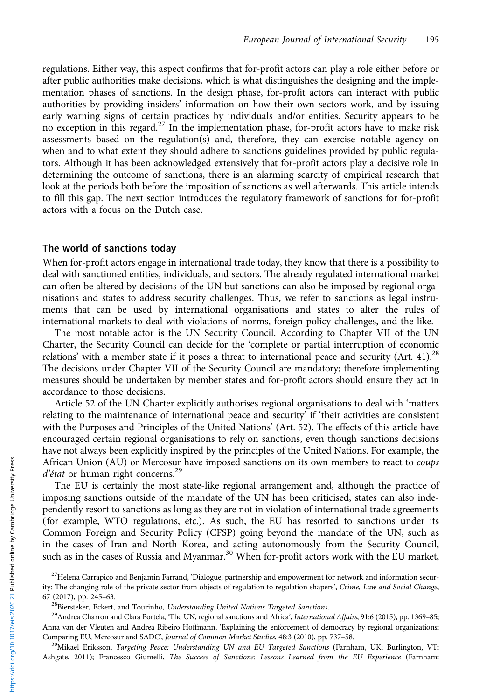regulations. Either way, this aspect confirms that for-profit actors can play a role either before or after public authorities make decisions, which is what distinguishes the designing and the implementation phases of sanctions. In the design phase, for-profit actors can interact with public authorities by providing insiders' information on how their own sectors work, and by issuing early warning signs of certain practices by individuals and/or entities. Security appears to be no exception in this regard.<sup>27</sup> In the implementation phase, for-profit actors have to make risk assessments based on the regulation(s) and, therefore, they can exercise notable agency on when and to what extent they should adhere to sanctions guidelines provided by public regulators. Although it has been acknowledged extensively that for-profit actors play a decisive role in determining the outcome of sanctions, there is an alarming scarcity of empirical research that look at the periods both before the imposition of sanctions as well afterwards. This article intends to fill this gap. The next section introduces the regulatory framework of sanctions for for-profit actors with a focus on the Dutch case.

# The world of sanctions today

When for-profit actors engage in international trade today, they know that there is a possibility to deal with sanctioned entities, individuals, and sectors. The already regulated international market can often be altered by decisions of the UN but sanctions can also be imposed by regional organisations and states to address security challenges. Thus, we refer to sanctions as legal instruments that can be used by international organisations and states to alter the rules of international markets to deal with violations of norms, foreign policy challenges, and the like.

The most notable actor is the UN Security Council. According to Chapter VII of the UN Charter, the Security Council can decide for the 'complete or partial interruption of economic relations' with a member state if it poses a threat to international peace and security (Art. 41).<sup>28</sup> The decisions under Chapter VII of the Security Council are mandatory; therefore implementing measures should be undertaken by member states and for-profit actors should ensure they act in accordance to those decisions.

Article 52 of the UN Charter explicitly authorises regional organisations to deal with 'matters relating to the maintenance of international peace and security' if 'their activities are consistent with the Purposes and Principles of the United Nations' (Art. 52). The effects of this article have encouraged certain regional organisations to rely on sanctions, even though sanctions decisions have not always been explicitly inspired by the principles of the United Nations. For example, the African Union (AU) or Mercosur have imposed sanctions on its own members to react to coups d'état or human right concerns.<sup>29</sup>

The EU is certainly the most state-like regional arrangement and, although the practice of imposing sanctions outside of the mandate of the UN has been criticised, states can also independently resort to sanctions as long as they are not in violation of international trade agreements (for example, WTO regulations, etc.). As such, the EU has resorted to sanctions under its Common Foreign and Security Policy (CFSP) going beyond the mandate of the UN, such as in the cases of Iran and North Korea, and acting autonomously from the Security Council, such as in the cases of Russia and Myanmar.<sup>30</sup> When for-profit actors work with the EU market,

 $^{27}$ Helena Carrapico and Benjamin Farrand, 'Dialogue, partnership and empowerment for network and information security: The changing role of the private sector from objects of regulation to regulation shapers', Crime, Law and Social Change, 67 (2017), pp. 245–63.<br><sup>28</sup>Biersteker, Eckert, and Tourinho, *Understanding United Nations Targeted Sanctions*.<br><sup>29</sup>Andrea Charron and Clara Portela, 'The UN, regional sanctions and Africa', *International Affairs*, 91:6 (

Anna van der Vleuten and Andrea Ribeiro Hoffmann, 'Explaining the enforcement of democracy by regional organizations:<br>Comparing EU, Mercosur and SADC', Journal of Common Market Studies, 48:3 (2010), pp. 737-58.

<sup>&</sup>lt;sup>30</sup>Mikael Eriksson, *Targeting Peace: Understanding UN and EU Targeted Sanctions* (Farnham, UK; Burlington, VT: Ashgate, 2011); Francesco Giumelli, The Success of Sanctions: Lessons Learned from the EU Experience (Farnham: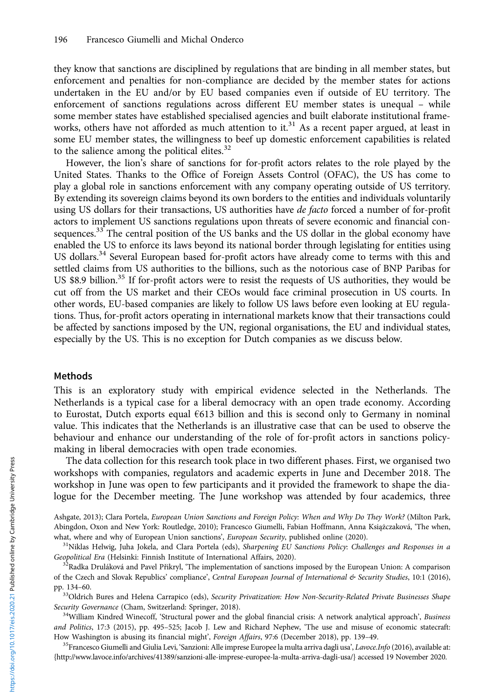they know that sanctions are disciplined by regulations that are binding in all member states, but enforcement and penalties for non-compliance are decided by the member states for actions undertaken in the EU and/or by EU based companies even if outside of EU territory. The enforcement of sanctions regulations across different EU member states is unequal – while some member states have established specialised agencies and built elaborate institutional frameworks, others have not afforded as much attention to it.<sup>31</sup> As a recent paper argued, at least in some EU member states, the willingness to beef up domestic enforcement capabilities is related to the salience among the political elites.<sup>32</sup>

However, the lion's share of sanctions for for-profit actors relates to the role played by the United States. Thanks to the Office of Foreign Assets Control (OFAC), the US has come to play a global role in sanctions enforcement with any company operating outside of US territory. By extending its sovereign claims beyond its own borders to the entities and individuals voluntarily using US dollars for their transactions, US authorities have de facto forced a number of for-profit actors to implement US sanctions regulations upon threats of severe economic and financial consequences.<sup>33</sup> The central position of the US banks and the US dollar in the global economy have enabled the US to enforce its laws beyond its national border through legislating for entities using US dollars.<sup>34</sup> Several European based for-profit actors have already come to terms with this and settled claims from US authorities to the billions, such as the notorious case of BNP Paribas for US \$8.9 billion.<sup>35</sup> If for-profit actors were to resist the requests of US authorities, they would be cut off from the US market and their CEOs would face criminal prosecution in US courts. In other words, EU-based companies are likely to follow US laws before even looking at EU regulations. Thus, for-profit actors operating in international markets know that their transactions could be affected by sanctions imposed by the UN, regional organisations, the EU and individual states, especially by the US. This is no exception for Dutch companies as we discuss below.

## Methods

This is an exploratory study with empirical evidence selected in the Netherlands. The Netherlands is a typical case for a liberal democracy with an open trade economy. According to Eurostat, Dutch exports equal €613 billion and this is second only to Germany in nominal value. This indicates that the Netherlands is an illustrative case that can be used to observe the behaviour and enhance our understanding of the role of for-profit actors in sanctions policymaking in liberal democracies with open trade economies.

The data collection for this research took place in two different phases. First, we organised two workshops with companies, regulators and academic experts in June and December 2018. The workshop in June was open to few participants and it provided the framework to shape the dialogue for the December meeting. The June workshop was attended by four academics, three

Ashgate, 2013); Clara Portela, European Union Sanctions and Foreign Policy: When and Why Do They Work? (Milton Park, Abingdon, Oxon and New York: Routledge, 2010); Francesco Giumelli, Fabian Hoffmann, Anna Książczaková, 'The when, what, where and why of European Union sanctions', European Security, published online (2020).<br><sup>31</sup>Niklas Helwig, Juha Jokela, and Clara Portela (eds), Sharpening EU Sanctions Policy: Challenges and Responses in a

Geopolitical Era (Helsinki: Finnish Institute of International Affairs, 2020).<br><sup>32</sup>Radka Druláková and Pavel Přikryl, 'The implementation of sanctions imposed by the European Union: A comparison

of the Czech and Slovak Republics' compliance', Central European Journal of International & Security Studies, 10:1 (2016),

pp. 134–60.<br><sup>33</sup>Oldrich Bures and Helena Carrapico (eds), *Security Privatization: How Non-Security-Related Private Businesses Shape*<br>Security Governance (Cham, Switzerland: Springer, 2018).

<sup>34</sup>William Kindred Winecoff, 'Structural power and the global financial crisis: A network analytical approach', Business and Politics, 17:3 (2015), pp. 495–525; Jacob J. Lew and Richard Nephew, 'The use and misuse of economic statecraft: How Washington is abusing its financial might', Foreign Affairs, 97:6 (December 2018), pp. 139–49.<br><sup>35</sup>Francesco Giumelli and Giulia Levi, 'Sanzioni: Alle imprese Europee la multa arriva dagli usa', *Lavoce.Info* (2016), a

{<http://www.lavoce.info/archives/41389/sanzioni-alle-imprese-europee-la-multa-arriva-dagli-usa/>} accessed 19 November 2020.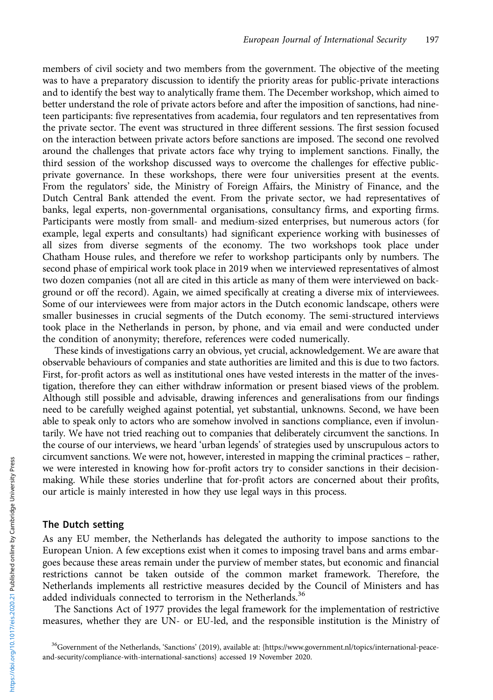members of civil society and two members from the government. The objective of the meeting was to have a preparatory discussion to identify the priority areas for public-private interactions and to identify the best way to analytically frame them. The December workshop, which aimed to better understand the role of private actors before and after the imposition of sanctions, had nineteen participants: five representatives from academia, four regulators and ten representatives from the private sector. The event was structured in three different sessions. The first session focused on the interaction between private actors before sanctions are imposed. The second one revolved around the challenges that private actors face why trying to implement sanctions. Finally, the third session of the workshop discussed ways to overcome the challenges for effective publicprivate governance. In these workshops, there were four universities present at the events. From the regulators' side, the Ministry of Foreign Affairs, the Ministry of Finance, and the Dutch Central Bank attended the event. From the private sector, we had representatives of banks, legal experts, non-governmental organisations, consultancy firms, and exporting firms. Participants were mostly from small- and medium-sized enterprises, but numerous actors (for example, legal experts and consultants) had significant experience working with businesses of all sizes from diverse segments of the economy. The two workshops took place under Chatham House rules, and therefore we refer to workshop participants only by numbers. The second phase of empirical work took place in 2019 when we interviewed representatives of almost two dozen companies (not all are cited in this article as many of them were interviewed on background or off the record). Again, we aimed specifically at creating a diverse mix of interviewees. Some of our interviewees were from major actors in the Dutch economic landscape, others were smaller businesses in crucial segments of the Dutch economy. The semi-structured interviews took place in the Netherlands in person, by phone, and via email and were conducted under the condition of anonymity; therefore, references were coded numerically.

These kinds of investigations carry an obvious, yet crucial, acknowledgement. We are aware that observable behaviours of companies and state authorities are limited and this is due to two factors. First, for-profit actors as well as institutional ones have vested interests in the matter of the investigation, therefore they can either withdraw information or present biased views of the problem. Although still possible and advisable, drawing inferences and generalisations from our findings need to be carefully weighed against potential, yet substantial, unknowns. Second, we have been able to speak only to actors who are somehow involved in sanctions compliance, even if involuntarily. We have not tried reaching out to companies that deliberately circumvent the sanctions. In the course of our interviews, we heard 'urban legends' of strategies used by unscrupulous actors to circumvent sanctions. We were not, however, interested in mapping the criminal practices – rather, we were interested in knowing how for-profit actors try to consider sanctions in their decisionmaking. While these stories underline that for-profit actors are concerned about their profits, our article is mainly interested in how they use legal ways in this process.

# The Dutch setting

As any EU member, the Netherlands has delegated the authority to impose sanctions to the European Union. A few exceptions exist when it comes to imposing travel bans and arms embargoes because these areas remain under the purview of member states, but economic and financial restrictions cannot be taken outside of the common market framework. Therefore, the Netherlands implements all restrictive measures decided by the Council of Ministers and has added individuals connected to terrorism in the Netherlands.<sup>36</sup>

The Sanctions Act of 1977 provides the legal framework for the implementation of restrictive measures, whether they are UN- or EU-led, and the responsible institution is the Ministry of

<sup>&</sup>lt;sup>36</sup>Government of the Netherlands, 'Sanctions' (2019), available at: [{https://www.government.nl/topics/international-peace](https://www.government.nl/topics/international-peace-and-security/compliance-with-international-sanctions)[and-security/compliance-with-international-sanctions](https://www.government.nl/topics/international-peace-and-security/compliance-with-international-sanctions)} accessed 19 November 2020.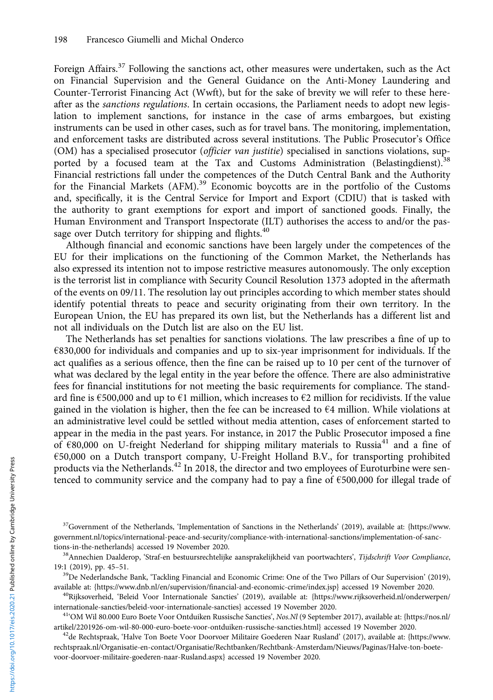Foreign Affairs.<sup>37</sup> Following the sanctions act, other measures were undertaken, such as the Act on Financial Supervision and the General Guidance on the Anti-Money Laundering and Counter-Terrorist Financing Act (Wwft), but for the sake of brevity we will refer to these hereafter as the *sanctions regulations*. In certain occasions, the Parliament needs to adopt new legislation to implement sanctions, for instance in the case of arms embargoes, but existing instruments can be used in other cases, such as for travel bans. The monitoring, implementation, and enforcement tasks are distributed across several institutions. The Public Prosecutor's Office (OM) has a specialised prosecutor (officier van justitie) specialised in sanctions violations, supported by a focused team at the Tax and Customs Administration (Belastingdienst).<sup>38</sup> Financial restrictions fall under the competences of the Dutch Central Bank and the Authority for the Financial Markets (AFM).<sup>39</sup> Economic boycotts are in the portfolio of the Customs and, specifically, it is the Central Service for Import and Export (CDIU) that is tasked with the authority to grant exemptions for export and import of sanctioned goods. Finally, the Human Environment and Transport Inspectorate (ILT) authorises the access to and/or the passage over Dutch territory for shipping and flights.<sup>40</sup>

Although financial and economic sanctions have been largely under the competences of the EU for their implications on the functioning of the Common Market, the Netherlands has also expressed its intention not to impose restrictive measures autonomously. The only exception is the terrorist list in compliance with Security Council Resolution 1373 adopted in the aftermath of the events on 09/11. The resolution lay out principles according to which member states should identify potential threats to peace and security originating from their own territory. In the European Union, the EU has prepared its own list, but the Netherlands has a different list and not all individuals on the Dutch list are also on the EU list.

The Netherlands has set penalties for sanctions violations. The law prescribes a fine of up to €830,000 for individuals and companies and up to six-year imprisonment for individuals. If the act qualifies as a serious offence, then the fine can be raised up to 10 per cent of the turnover of what was declared by the legal entity in the year before the offence. There are also administrative fees for financial institutions for not meeting the basic requirements for compliance. The standard fine is  $\epsilon$ 500,000 and up to  $\epsilon$ 1 million, which increases to  $\epsilon$ 2 million for recidivists. If the value gained in the violation is higher, then the fee can be increased to  $64$  million. While violations at an administrative level could be settled without media attention, cases of enforcement started to appear in the media in the past years. For instance, in 2017 the Public Prosecutor imposed a fine of €80,000 on U-freight Nederland for shipping military materials to Russia<sup>41</sup> and a fine of €50,000 on a Dutch transport company, U-Freight Holland B.V., for transporting prohibited products via the Netherlands.<sup>42</sup> In 2018, the director and two employees of Euroturbine were sentenced to community service and the company had to pay a fine of  $€500,000$  for illegal trade of

<sup>&</sup>lt;sup>37</sup>Government of the Netherlands, 'Implementation of Sanctions in the Netherlands' (2019), available at: {[https://www.](https://www.government.nl/topics/international-peace-and-security/compliance-with-international-sanctions/implementation-of-sanctions-in-the-netherlands) government.nl/topics/international-peace-and-security/compliance-with-international-sanctions/implementation-of-sanc-<br>tions-in-the-netherlands} accessed 19 November 2020.

<sup>&</sup>lt;sup>38</sup>Annechien Daalderop, 'Straf-en bestuursrechtelijke aansprakelijkheid van poortwachters', Tijdschrift Voor Compliance, 19:1 (2019), pp. 45–51.<br><sup>39</sup>De Nederlandsche Bank, 'Tackling Financial and Economic Crime: One of the Two Pillars of Our Supervision' (2019),

available at: {[https://www.dnb.nl/en/supervision/financial-and-economic-crime/index.jsp}](https://www.dnb.nl/en/supervision/financial-and-economic-crime/index.jsp) accessed 19 November 2020.<br><sup>40</sup>Rijksoverheid, 'Beleid Voor Internationale Sancties' (2019), available at: {https://www.rijksoverheid.

<sup>&</sup>lt;sup>41</sup>'OM Wil 80.000 Euro Boete Voor Ontduiken Russische Sancties', Nos.Nl (9 September 2017), available at: {[https://nos.nl/](https://nos.nl/artikel/2201926-om-wil-80-000-euro-boete-voor-ontduiken-russische-sancties.html) [artikel/2201926-om-wil-80-000-euro-boete-voor-ontduiken-russische-sancties.html}](https://nos.nl/artikel/2201926-om-wil-80-000-euro-boete-voor-ontduiken-russische-sancties.html) accessed 19 November 2020.<br><sup>42</sup>de Rechtspraak, 'Halve Ton Boete Voor Doorvoer Militaire Goederen Naar Rusland' (2017), available at: {https:/

[rechtspraak.nl/Organisatie-en-contact/Organisatie/Rechtbanken/Rechtbank-Amsterdam/Nieuws/Paginas/Halve-ton-boete](https://www.rechtspraak.nl/Organisatie-en-contact/Organisatie/Rechtbanken/Rechtbank-Amsterdam/Nieuws/Paginas/Halve-ton-boete-voor-doorvoer-militaire-goederen-naar-Rusland.aspx)[voor-doorvoer-militaire-goederen-naar-Rusland.aspx}](https://www.rechtspraak.nl/Organisatie-en-contact/Organisatie/Rechtbanken/Rechtbank-Amsterdam/Nieuws/Paginas/Halve-ton-boete-voor-doorvoer-militaire-goederen-naar-Rusland.aspx) accessed 19 November 2020.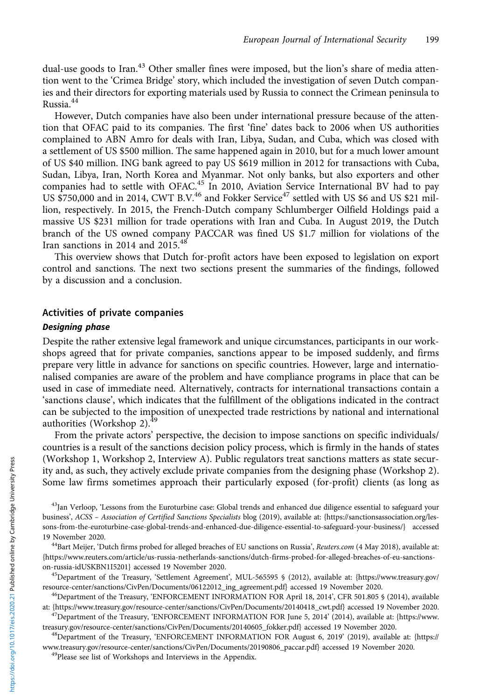dual-use goods to Iran.<sup>43</sup> Other smaller fines were imposed, but the lion's share of media attention went to the 'Crimea Bridge' story, which included the investigation of seven Dutch companies and their directors for exporting materials used by Russia to connect the Crimean peninsula to Russia.<sup>44</sup>

However, Dutch companies have also been under international pressure because of the attention that OFAC paid to its companies. The first 'fine' dates back to 2006 when US authorities complained to ABN Amro for deals with Iran, Libya, Sudan, and Cuba, which was closed with a settlement of US \$500 million. The same happened again in 2010, but for a much lower amount of US \$40 million. ING bank agreed to pay US \$619 million in 2012 for transactions with Cuba, Sudan, Libya, Iran, North Korea and Myanmar. Not only banks, but also exporters and other companies had to settle with OFAC.<sup>45</sup> In 2010, Aviation Service International BV had to pay US  $$750,000$  and in 2014, CWT B.V.<sup>46</sup> and Fokker Service<sup>47</sup> settled with US \$6 and US \$21 million, respectively. In 2015, the French-Dutch company Schlumberger Oilfield Holdings paid a massive US \$231 million for trade operations with Iran and Cuba. In August 2019, the Dutch branch of the US owned company PACCAR was fined US \$1.7 million for violations of the Iran sanctions in 2014 and 2015.<sup>48</sup>

This overview shows that Dutch for-profit actors have been exposed to legislation on export control and sanctions. The next two sections present the summaries of the findings, followed by a discussion and a conclusion.

# Activities of private companies

# Designing phase

Despite the rather extensive legal framework and unique circumstances, participants in our workshops agreed that for private companies, sanctions appear to be imposed suddenly, and firms prepare very little in advance for sanctions on specific countries. However, large and internationalised companies are aware of the problem and have compliance programs in place that can be used in case of immediate need. Alternatively, contracts for international transactions contain a 'sanctions clause', which indicates that the fulfillment of the obligations indicated in the contract can be subjected to the imposition of unexpected trade restrictions by national and international authorities (Workshop 2). $^{49}$ 

From the private actors' perspective, the decision to impose sanctions on specific individuals/ countries is a result of the sanctions decision policy process, which is firmly in the hands of states (Workshop 1, Workshop 2, Interview A). Public regulators treat sanctions matters as state security and, as such, they actively exclude private companies from the designing phase (Workshop 2). Some law firms sometimes approach their particularly exposed (for-profit) clients (as long as

<sup>&</sup>lt;sup>43</sup>Jan Verloop, 'Lessons from the Euroturbine case: Global trends and enhanced due diligence essential to safeguard your business', ACSS – Association of Certified Sanctions Specialists blog (2019), available at: {[https://sanctionsassociation.org/les](https://sanctionsassociation.org/lessons-from-the-euroturbine-case-global-trends-and-enhanced-due-diligence-essential-to-safeguard-your-business/)[sons-from-the-euroturbine-case-global-trends-and-enhanced-due-diligence-essential-to-safeguard-your-business/](https://sanctionsassociation.org/lessons-from-the-euroturbine-case-global-trends-and-enhanced-due-diligence-essential-to-safeguard-your-business/)} accessed 19 November 2020.<br><sup>44</sup>Bart Meijer, 'Dutch firms probed for alleged breaches of EU sanctions on Russia', *Reuters.com* (4 May 2018), available at:

[<sup>{</sup>https://www.reuters.com/article/us-russia-netherlands-sanctions/dutch-firms-probed-for-alleged-breaches-of-eu-sanctions](https://www.reuters.com/article/us-russia-netherlands-sanctions/dutch-firms-probed-for-alleged-breaches-of-eu-sanctions-on-russia-idUSKBN1I5201)[on-russia-idUSKBN1I5201](https://www.reuters.com/article/us-russia-netherlands-sanctions/dutch-firms-probed-for-alleged-breaches-of-eu-sanctions-on-russia-idUSKBN1I5201)} accessed 19 November 2020.<br><sup>45</sup>Department of the Treasury, 'Settlement Agreement', MUL-565595 § (2012), available at: [{https://www.treasury.gov/](https://www.treasury.gov/resource-center/sanctions/CivPen/Documents/06122012_ing_agreement.pdf)

[resource-center/sanctions/CivPen/Documents/06122012\\_ing\\_agreement.pdf](https://www.treasury.gov/resource-center/sanctions/CivPen/Documents/06122012_ing_agreement.pdf)} accessed 19 November 2020.<br><sup>46</sup>Department of the Treasury, 'ENFORCEMENT INFORMATION FOR April 18, 2014', CFR 501.805 § (2014), available at: {https://w

<sup>&</sup>lt;sup>47</sup>Department of the Treasury, 'ENFORCEMENT INFORMATION FOR June 5, 2014' (2014), available at: [{https://www.](https://www.treasury.gov/resource-center/sanctions/CivPen/Documents/20140605_fokker) [treasury.gov/resource-center/sanctions/CivPen/Documents/20140605\\_fokker.](https://www.treasury.gov/resource-center/sanctions/CivPen/Documents/20140605_fokker)pdf} accessed 19 November 2020. 48Department of the Treasury, 'ENFORCEMENT INFORMATION FOR August 6, 2019' (2019), available at: [{https://](https://www.treasury.gov/resource-center/sanctions/CivPen/Documents/20190806_paccar.pdf)

[www.treasury.gov/resource-center/sanctions/CivPen/Documents/20190806\\_paccar.pdf](https://www.treasury.gov/resource-center/sanctions/CivPen/Documents/20190806_paccar.pdf)} accessed 19 November 2020. 49Please see list of Workshops and Interviews in the Appendix.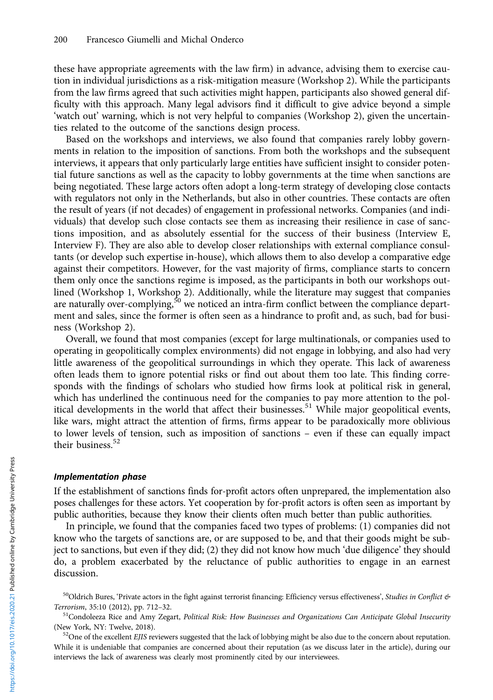these have appropriate agreements with the law firm) in advance, advising them to exercise caution in individual jurisdictions as a risk-mitigation measure (Workshop 2). While the participants from the law firms agreed that such activities might happen, participants also showed general difficulty with this approach. Many legal advisors find it difficult to give advice beyond a simple 'watch out' warning, which is not very helpful to companies (Workshop 2), given the uncertainties related to the outcome of the sanctions design process.

Based on the workshops and interviews, we also found that companies rarely lobby governments in relation to the imposition of sanctions. From both the workshops and the subsequent interviews, it appears that only particularly large entities have sufficient insight to consider potential future sanctions as well as the capacity to lobby governments at the time when sanctions are being negotiated. These large actors often adopt a long-term strategy of developing close contacts with regulators not only in the Netherlands, but also in other countries. These contacts are often the result of years (if not decades) of engagement in professional networks. Companies (and individuals) that develop such close contacts see them as increasing their resilience in case of sanctions imposition, and as absolutely essential for the success of their business (Interview E, Interview F). They are also able to develop closer relationships with external compliance consultants (or develop such expertise in-house), which allows them to also develop a comparative edge against their competitors. However, for the vast majority of firms, compliance starts to concern them only once the sanctions regime is imposed, as the participants in both our workshops outlined (Workshop 1, Workshop 2). Additionally, while the literature may suggest that companies are naturally over-complying,<sup>50</sup> we noticed an intra-firm conflict between the compliance department and sales, since the former is often seen as a hindrance to profit and, as such, bad for business (Workshop 2).

Overall, we found that most companies (except for large multinationals, or companies used to operating in geopolitically complex environments) did not engage in lobbying, and also had very little awareness of the geopolitical surroundings in which they operate. This lack of awareness often leads them to ignore potential risks or find out about them too late. This finding corresponds with the findings of scholars who studied how firms look at political risk in general, which has underlined the continuous need for the companies to pay more attention to the political developments in the world that affect their businesses.<sup>51</sup> While major geopolitical events, like wars, might attract the attention of firms, firms appear to be paradoxically more oblivious to lower levels of tension, such as imposition of sanctions – even if these can equally impact their business. $52$ 

#### Implementation phase

If the establishment of sanctions finds for-profit actors often unprepared, the implementation also poses challenges for these actors. Yet cooperation by for-profit actors is often seen as important by public authorities, because they know their clients often much better than public authorities.

In principle, we found that the companies faced two types of problems: (1) companies did not know who the targets of sanctions are, or are supposed to be, and that their goods might be subject to sanctions, but even if they did; (2) they did not know how much 'due diligence' they should do, a problem exacerbated by the reluctance of public authorities to engage in an earnest discussion.

 $^{50}$ Oldrich Bures, 'Private actors in the fight against terrorist financing: Efficiency versus effectiveness', Studies in Conflict & Terrorism, 35:10 (2012), pp. 712-32.

<sup>51</sup>Condoleeza Rice and Amy Zegart, Political Risk: How Businesses and Organizations Can Anticipate Global Insecurity (New York, NY: Twelve, 2018).<br><sup>52</sup>One of the excellent *EJIS* reviewers suggested that the lack of lobbying might be also due to the concern about reputation.

While it is undeniable that companies are concerned about their reputation (as we discuss later in the article), during our interviews the lack of awareness was clearly most prominently cited by our interviewees.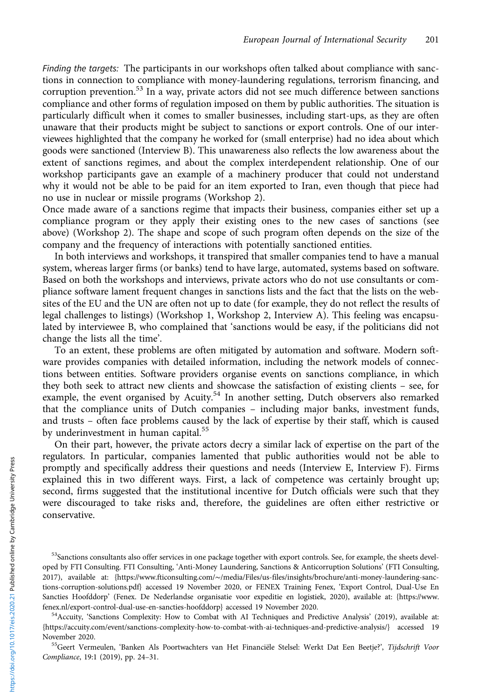Finding the targets: The participants in our workshops often talked about compliance with sanctions in connection to compliance with money-laundering regulations, terrorism financing, and corruption prevention.<sup>53</sup> In a way, private actors did not see much difference between sanctions compliance and other forms of regulation imposed on them by public authorities. The situation is particularly difficult when it comes to smaller businesses, including start-ups, as they are often unaware that their products might be subject to sanctions or export controls. One of our interviewees highlighted that the company he worked for (small enterprise) had no idea about which goods were sanctioned (Interview B). This unawareness also reflects the low awareness about the extent of sanctions regimes, and about the complex interdependent relationship. One of our workshop participants gave an example of a machinery producer that could not understand why it would not be able to be paid for an item exported to Iran, even though that piece had no use in nuclear or missile programs (Workshop 2).

Once made aware of a sanctions regime that impacts their business, companies either set up a compliance program or they apply their existing ones to the new cases of sanctions (see above) (Workshop 2). The shape and scope of such program often depends on the size of the company and the frequency of interactions with potentially sanctioned entities.

In both interviews and workshops, it transpired that smaller companies tend to have a manual system, whereas larger firms (or banks) tend to have large, automated, systems based on software. Based on both the workshops and interviews, private actors who do not use consultants or compliance software lament frequent changes in sanctions lists and the fact that the lists on the websites of the EU and the UN are often not up to date (for example, they do not reflect the results of legal challenges to listings) (Workshop 1, Workshop 2, Interview A). This feeling was encapsulated by interviewee B, who complained that 'sanctions would be easy, if the politicians did not change the lists all the time'.

To an extent, these problems are often mitigated by automation and software. Modern software provides companies with detailed information, including the network models of connections between entities. Software providers organise events on sanctions compliance, in which they both seek to attract new clients and showcase the satisfaction of existing clients – see, for example, the event organised by Acuity.<sup>54</sup> In another setting, Dutch observers also remarked that the compliance units of Dutch companies – including major banks, investment funds, and trusts – often face problems caused by the lack of expertise by their staff, which is caused by underinvestment in human capital.<sup>55</sup>

On their part, however, the private actors decry a similar lack of expertise on the part of the regulators. In particular, companies lamented that public authorities would not be able to promptly and specifically address their questions and needs (Interview E, Interview F). Firms explained this in two different ways. First, a lack of competence was certainly brought up; second, firms suggested that the institutional incentive for Dutch officials were such that they were discouraged to take risks and, therefore, the guidelines are often either restrictive or conservative.

Compliance, 19:1 (2019), pp. 24–31.

<sup>&</sup>lt;sup>53</sup>Sanctions consultants also offer services in one package together with export controls. See, for example, the sheets developed by FTI Consulting. FTI Consulting, 'Anti-Money Laundering, Sanctions & Anticorruption Solutions' (FTI Consulting, 2017), available at: [{https://](https://www.fticonsulting.com/~/media/Files/us-files/insights/brochure/anti-money-laundering-sanctions-corruption-solutions.pdf)www.fticonsulting.com/∼[/media/Files/us-files/insights/brochure/anti-money-laundering-sanc](https://www.fticonsulting.com/~/media/Files/us-files/insights/brochure/anti-money-laundering-sanctions-corruption-solutions.pdf)[tions-corruption-solutions.pdf](https://www.fticonsulting.com/~/media/Files/us-files/insights/brochure/anti-money-laundering-sanctions-corruption-solutions.pdf)} accessed 19 November 2020, or FENEX Training Fenex, 'Export Control, Dual-Use En Sancties Hoofddorp' (Fenex. De Nederlandse organisatie voor expeditie en logistiek, 2020), available at: [{https://www.](https://www.fenex.nl/export-control-dual-use-en-sancties-hoofddorp)

 $54$  Accuity, 'Sanctions Complexity: How to Combat with AI Techniques and Predictive Analysis' (2019), available at: [{https://accuity.com/event/sanctions-complexity-how-to-combat-with-ai-techniques-and-predictive-analysis/}](https://accuity.com/event/sanctions-complexity-how-to-combat-with-ai-techniques-and-predictive-analysis/) accessed 19 November 2020.<br><sup>55</sup>Geert Vermeulen, 'Banken Als Poortwachters van Het Financiële Stelsel: Werkt Dat Een Beetje?', *Tijdschrift Voor*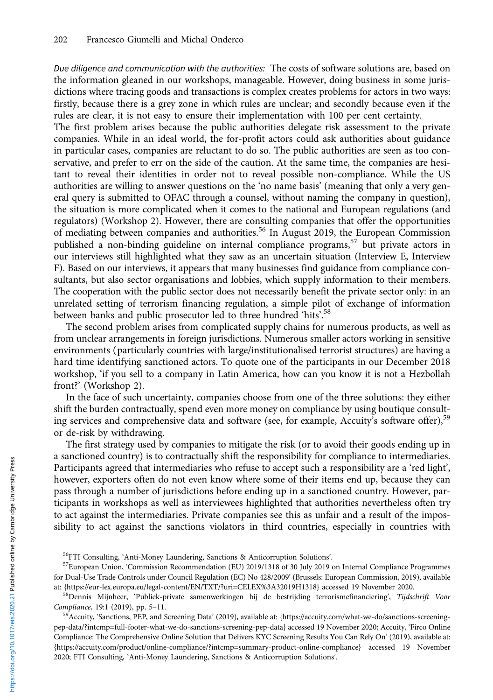Due diligence and communication with the authorities: The costs of software solutions are, based on the information gleaned in our workshops, manageable. However, doing business in some jurisdictions where tracing goods and transactions is complex creates problems for actors in two ways: firstly, because there is a grey zone in which rules are unclear; and secondly because even if the rules are clear, it is not easy to ensure their implementation with 100 per cent certainty.

The first problem arises because the public authorities delegate risk assessment to the private companies. While in an ideal world, the for-profit actors could ask authorities about guidance in particular cases, companies are reluctant to do so. The public authorities are seen as too conservative, and prefer to err on the side of the caution. At the same time, the companies are hesitant to reveal their identities in order not to reveal possible non-compliance. While the US authorities are willing to answer questions on the 'no name basis' (meaning that only a very general query is submitted to OFAC through a counsel, without naming the company in question), the situation is more complicated when it comes to the national and European regulations (and regulators) (Workshop 2). However, there are consulting companies that offer the opportunities of mediating between companies and authorities.<sup>56</sup> In August 2019, the European Commission published a non-binding guideline on internal compliance programs,<sup>57</sup> but private actors in our interviews still highlighted what they saw as an uncertain situation (Interview E, Interview F). Based on our interviews, it appears that many businesses find guidance from compliance consultants, but also sector organisations and lobbies, which supply information to their members. The cooperation with the public sector does not necessarily benefit the private sector only: in an unrelated setting of terrorism financing regulation, a simple pilot of exchange of information between banks and public prosecutor led to three hundred 'hits'.<sup>58</sup>

The second problem arises from complicated supply chains for numerous products, as well as from unclear arrangements in foreign jurisdictions. Numerous smaller actors working in sensitive environments (particularly countries with large/institutionalised terrorist structures) are having a hard time identifying sanctioned actors. To quote one of the participants in our December 2018 workshop, 'if you sell to a company in Latin America, how can you know it is not a Hezbollah front?' (Workshop 2).

In the face of such uncertainty, companies choose from one of the three solutions: they either shift the burden contractually, spend even more money on compliance by using boutique consulting services and comprehensive data and software (see, for example, Accuity's software offer),<sup>59</sup> or de-risk by withdrawing.

The first strategy used by companies to mitigate the risk (or to avoid their goods ending up in a sanctioned country) is to contractually shift the responsibility for compliance to intermediaries. Participants agreed that intermediaries who refuse to accept such a responsibility are a 'red light', however, exporters often do not even know where some of their items end up, because they can pass through a number of jurisdictions before ending up in a sanctioned country. However, participants in workshops as well as interviewees highlighted that authorities nevertheless often try to act against the intermediaries. Private companies see this as unfair and a result of the impossibility to act against the sanctions violators in third countries, especially in countries with

<sup>&</sup>lt;sup>56</sup>FTI Consulting, 'Anti-Money Laundering, Sanctions & Anticorruption Solutions'.<br><sup>57</sup>European Union, 'Commission Recommendation (EU) 2019/1318 of 30 July 2019 on Internal Compliance Programmes for Dual-Use Trade Controls under Council Regulation (EC) No 428/2009' (Brussels: European Commission, 2019), available

at: {[https://eur-lex.europa.eu/legal-content/EN/TXT/?uri=CELEX%3A32019H1318}](https://eur-lex.europa.eu/legal-content/EN/TXT/?uri=CELEX%3A32019H1318) accessed 19 November 2020.<br><sup>58</sup>Dennis Mijnheer, 'Publiek-private samenwerkingen bij de bestrijding terrorismefinanciering', Tijdschrift Voor Compliance, 19:1 (2019), pp. 5–11.<br><sup>59</sup>Accuity, 'Sanctions, PEP, and Screening Data' (2019), available at: {[https://accuity.com/what-we-do/sanctions-screening-](https://accuity.com/what-we-do/sanctions-screening-pep-data/?intcmp=full-footer-what-we-do-sanctions-screening-pep-data)

[pep-data/?intcmp=full-footer-what-we-do-sanctions-screening-pep-data](https://accuity.com/what-we-do/sanctions-screening-pep-data/?intcmp=full-footer-what-we-do-sanctions-screening-pep-data)} accessed 19 November 2020; Accuity, 'Firco Online Compliance: The Comprehensive Online Solution that Delivers KYC Screening Results You Can Rely On' (2019), available at: {[https://accuity.com/product/online-compliance/?intcmp=summary-product-online-compliance}](https://accuity.com/product/online-compliance/?intcmp=summary-product-online-compliance) accessed 19 November 2020; FTI Consulting, 'Anti-Money Laundering, Sanctions & Anticorruption Solutions'.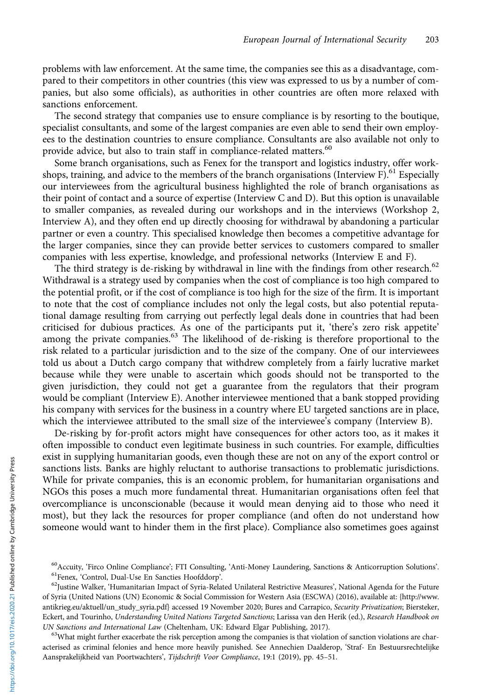problems with law enforcement. At the same time, the companies see this as a disadvantage, compared to their competitors in other countries (this view was expressed to us by a number of companies, but also some officials), as authorities in other countries are often more relaxed with sanctions enforcement.

The second strategy that companies use to ensure compliance is by resorting to the boutique, specialist consultants, and some of the largest companies are even able to send their own employees to the destination countries to ensure compliance. Consultants are also available not only to provide advice, but also to train staff in compliance-related matters.<sup>60</sup>

Some branch organisations, such as Fenex for the transport and logistics industry, offer workshops, training, and advice to the members of the branch organisations (Interview F).<sup>61</sup> Especially our interviewees from the agricultural business highlighted the role of branch organisations as their point of contact and a source of expertise (Interview C and D). But this option is unavailable to smaller companies, as revealed during our workshops and in the interviews (Workshop 2, Interview A), and they often end up directly choosing for withdrawal by abandoning a particular partner or even a country. This specialised knowledge then becomes a competitive advantage for the larger companies, since they can provide better services to customers compared to smaller companies with less expertise, knowledge, and professional networks (Interview E and F).

The third strategy is de-risking by withdrawal in line with the findings from other research.<sup>62</sup> Withdrawal is a strategy used by companies when the cost of compliance is too high compared to the potential profit, or if the cost of compliance is too high for the size of the firm. It is important to note that the cost of compliance includes not only the legal costs, but also potential reputational damage resulting from carrying out perfectly legal deals done in countries that had been criticised for dubious practices. As one of the participants put it, 'there's zero risk appetite' among the private companies.<sup>63</sup> The likelihood of de-risking is therefore proportional to the risk related to a particular jurisdiction and to the size of the company. One of our interviewees told us about a Dutch cargo company that withdrew completely from a fairly lucrative market because while they were unable to ascertain which goods should not be transported to the given jurisdiction, they could not get a guarantee from the regulators that their program would be compliant (Interview E). Another interviewee mentioned that a bank stopped providing his company with services for the business in a country where EU targeted sanctions are in place, which the interviewee attributed to the small size of the interviewee's company (Interview B).

De-risking by for-profit actors might have consequences for other actors too, as it makes it often impossible to conduct even legitimate business in such countries. For example, difficulties exist in supplying humanitarian goods, even though these are not on any of the export control or sanctions lists. Banks are highly reluctant to authorise transactions to problematic jurisdictions. While for private companies, this is an economic problem, for humanitarian organisations and NGOs this poses a much more fundamental threat. Humanitarian organisations often feel that overcompliance is unconscionable (because it would mean denying aid to those who need it most), but they lack the resources for proper compliance (and often do not understand how someone would want to hinder them in the first place). Compliance also sometimes goes against

acterised as criminal felonies and hence more heavily punished. See Annechien Daalderop, 'Straf- En Bestuursrechtelijke Aansprakelijkheid van Poortwachters', Tijdschrift Voor Compliance, 19:1 (2019), pp. 45–51.

<sup>&</sup>lt;sup>60</sup>Accuity, 'Firco Online Compliance'; FTI Consulting, 'Anti-Money Laundering, Sanctions & Anticorruption Solutions'.<br><sup>61</sup>Fenex, 'Control, Dual-Use En Sancties Hoofddorp'.<br><sup>62</sup>Justine Walker, 'Humanitarian Impact of Syri

of Syria (United Nations (UN) Economic & Social Commission for Western Asia (ESCWA) (2016), available at: [{http://www.](http://www.antikrieg.eu/aktuell/un_study_syria.pdf) [antikrieg.eu/aktuell/un\\_study\\_syria.pdf](http://www.antikrieg.eu/aktuell/un_study_syria.pdf)} accessed 19 November 2020; Bures and Carrapico, Security Privatization; Biersteker, Eckert, and Tourinho, Understanding United Nations Targeted Sanctions; Larissa van den Herik (ed.), Research Handbook on UN Sanctions and International Law (Cheltenham, UK: Edward Elgar Publishing, 2017).<br><sup>63</sup>What might further exacerbate the risk perception among the companies is that violation of sanction violations are char-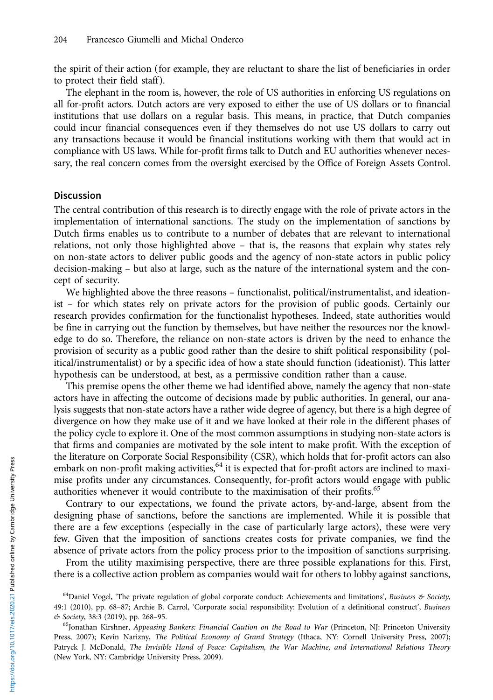the spirit of their action (for example, they are reluctant to share the list of beneficiaries in order to protect their field staff).

The elephant in the room is, however, the role of US authorities in enforcing US regulations on all for-profit actors. Dutch actors are very exposed to either the use of US dollars or to financial institutions that use dollars on a regular basis. This means, in practice, that Dutch companies could incur financial consequences even if they themselves do not use US dollars to carry out any transactions because it would be financial institutions working with them that would act in compliance with US laws. While for-profit firms talk to Dutch and EU authorities whenever necessary, the real concern comes from the oversight exercised by the Office of Foreign Assets Control.

# **Discussion**

The central contribution of this research is to directly engage with the role of private actors in the implementation of international sanctions. The study on the implementation of sanctions by Dutch firms enables us to contribute to a number of debates that are relevant to international relations, not only those highlighted above – that is, the reasons that explain why states rely on non-state actors to deliver public goods and the agency of non-state actors in public policy decision-making – but also at large, such as the nature of the international system and the concept of security.

We highlighted above the three reasons – functionalist, political/instrumentalist, and ideationist – for which states rely on private actors for the provision of public goods. Certainly our research provides confirmation for the functionalist hypotheses. Indeed, state authorities would be fine in carrying out the function by themselves, but have neither the resources nor the knowledge to do so. Therefore, the reliance on non-state actors is driven by the need to enhance the provision of security as a public good rather than the desire to shift political responsibility (political/instrumentalist) or by a specific idea of how a state should function (ideationist). This latter hypothesis can be understood, at best, as a permissive condition rather than a cause.

This premise opens the other theme we had identified above, namely the agency that non-state actors have in affecting the outcome of decisions made by public authorities. In general, our analysis suggests that non-state actors have a rather wide degree of agency, but there is a high degree of divergence on how they make use of it and we have looked at their role in the different phases of the policy cycle to explore it. One of the most common assumptions in studying non-state actors is that firms and companies are motivated by the sole intent to make profit. With the exception of the literature on Corporate Social Responsibility (CSR), which holds that for-profit actors can also embark on non-profit making activities, <sup>64</sup> it is expected that for-profit actors are inclined to maximise profits under any circumstances. Consequently, for-profit actors would engage with public authorities whenever it would contribute to the maximisation of their profits.<sup>65</sup>

Contrary to our expectations, we found the private actors, by-and-large, absent from the designing phase of sanctions, before the sanctions are implemented. While it is possible that there are a few exceptions (especially in the case of particularly large actors), these were very few. Given that the imposition of sanctions creates costs for private companies, we find the absence of private actors from the policy process prior to the imposition of sanctions surprising.

From the utility maximising perspective, there are three possible explanations for this. First, there is a collective action problem as companies would wait for others to lobby against sanctions,

<sup>&</sup>lt;sup>64</sup>Daniel Vogel, 'The private regulation of global corporate conduct: Achievements and limitations', Business & Society, 49:1 (2010), pp. 68–87; Archie B. Carrol, 'Corporate social responsibility: Evolution of a definitional construct', Business & Society, 38:3 (2019), pp. 268–95. 65Jonathan Kirshner, Appeasing Bankers: Financial Caution on the Road to War (Princeton, NJ: Princeton University

Press, 2007); Kevin Narizny, The Political Economy of Grand Strategy (Ithaca, NY: Cornell University Press, 2007); Patryck J. McDonald, The Invisible Hand of Peace: Capitalism, the War Machine, and International Relations Theory (New York, NY: Cambridge University Press, 2009).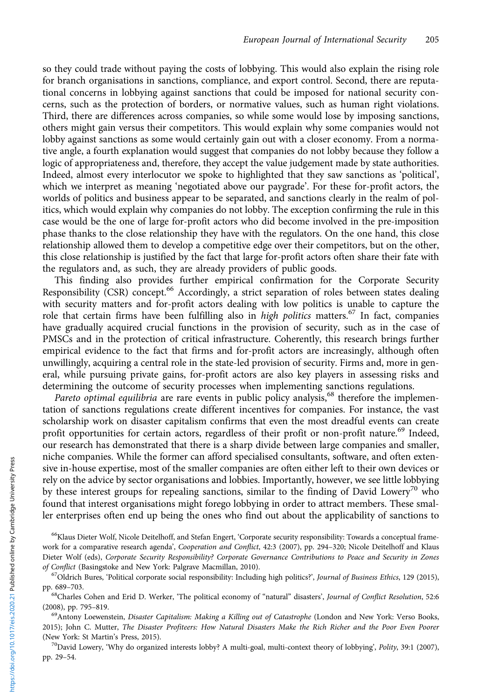so they could trade without paying the costs of lobbying. This would also explain the rising role for branch organisations in sanctions, compliance, and export control. Second, there are reputational concerns in lobbying against sanctions that could be imposed for national security concerns, such as the protection of borders, or normative values, such as human right violations. Third, there are differences across companies, so while some would lose by imposing sanctions, others might gain versus their competitors. This would explain why some companies would not lobby against sanctions as some would certainly gain out with a closer economy. From a normative angle, a fourth explanation would suggest that companies do not lobby because they follow a logic of appropriateness and, therefore, they accept the value judgement made by state authorities. Indeed, almost every interlocutor we spoke to highlighted that they saw sanctions as 'political', which we interpret as meaning 'negotiated above our paygrade'. For these for-profit actors, the worlds of politics and business appear to be separated, and sanctions clearly in the realm of politics, which would explain why companies do not lobby. The exception confirming the rule in this case would be the one of large for-profit actors who did become involved in the pre-imposition phase thanks to the close relationship they have with the regulators. On the one hand, this close relationship allowed them to develop a competitive edge over their competitors, but on the other, this close relationship is justified by the fact that large for-profit actors often share their fate with the regulators and, as such, they are already providers of public goods.

This finding also provides further empirical confirmation for the Corporate Security Responsibility (CSR) concept.<sup>66</sup> Accordingly, a strict separation of roles between states dealing with security matters and for-profit actors dealing with low politics is unable to capture the role that certain firms have been fulfilling also in *high politics* matters.<sup>67</sup> In fact, companies have gradually acquired crucial functions in the provision of security, such as in the case of PMSCs and in the protection of critical infrastructure. Coherently, this research brings further empirical evidence to the fact that firms and for-profit actors are increasingly, although often unwillingly, acquiring a central role in the state-led provision of security. Firms and, more in general, while pursuing private gains, for-profit actors are also key players in assessing risks and determining the outcome of security processes when implementing sanctions regulations.

Pareto optimal equilibria are rare events in public policy analysis,<sup>68</sup> therefore the implementation of sanctions regulations create different incentives for companies. For instance, the vast scholarship work on disaster capitalism confirms that even the most dreadful events can create profit opportunities for certain actors, regardless of their profit or non-profit nature.<sup>69</sup> Indeed, our research has demonstrated that there is a sharp divide between large companies and smaller, niche companies. While the former can afford specialised consultants, software, and often extensive in-house expertise, most of the smaller companies are often either left to their own devices or rely on the advice by sector organisations and lobbies. Importantly, however, we see little lobbying by these interest groups for repealing sanctions, similar to the finding of David Lowery<sup>70</sup> who found that interest organisations might forego lobbying in order to attract members. These smaller enterprises often end up being the ones who find out about the applicability of sanctions to

pp. 29–54.

<sup>&</sup>lt;sup>66</sup>Klaus Dieter Wolf, Nicole Deitelhoff, and Stefan Engert, 'Corporate security responsibility: Towards a conceptual framework for a comparative research agenda', Cooperation and Conflict, 42:3 (2007), pp. 294-320; Nicole Deitelhoff and Klaus Dieter Wolf (eds), Corporate Security Responsibility? Corporate Governance Contributions to Peace and Security in Zones of Conflict (Basingstoke and New York: Palgrave Macmillan, 2010).<br><sup>67</sup>Oldrich Bures, 'Political corporate social responsibility: Including high politics?', *Journal of Business Ethics*, 129 (2015),

pp. 689–703.<br><sup>68</sup>Charles Cohen and Erid D. Werker, 'The political economy of "natural" disasters', *Journal of Conflict Resolution*, 52:6

<sup>(2008),</sup> pp. 795–819.<br><sup>69</sup>Antony Loewenstein, *Disaster Capitalism: Making a Killing out of Catastrophe* (London and New York: Verso Books,

<sup>2015);</sup> John C. Mutter, The Disaster Profiteers: How Natural Disasters Make the Rich Richer and the Poor Even Poorer (New York: St Martin's Press, 2015).<br><sup>70</sup>David Lowery, 'Why do organized interests lobby? A multi-goal, multi-context theory of lobbying', *Polity*, 39:1 (2007),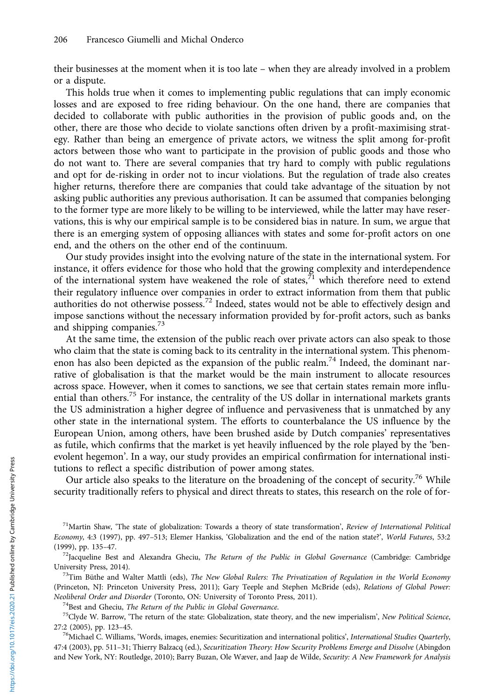their businesses at the moment when it is too late – when they are already involved in a problem or a dispute.

This holds true when it comes to implementing public regulations that can imply economic losses and are exposed to free riding behaviour. On the one hand, there are companies that decided to collaborate with public authorities in the provision of public goods and, on the other, there are those who decide to violate sanctions often driven by a profit-maximising strategy. Rather than being an emergence of private actors, we witness the split among for-profit actors between those who want to participate in the provision of public goods and those who do not want to. There are several companies that try hard to comply with public regulations and opt for de-risking in order not to incur violations. But the regulation of trade also creates higher returns, therefore there are companies that could take advantage of the situation by not asking public authorities any previous authorisation. It can be assumed that companies belonging to the former type are more likely to be willing to be interviewed, while the latter may have reservations, this is why our empirical sample is to be considered bias in nature. In sum, we argue that there is an emerging system of opposing alliances with states and some for-profit actors on one end, and the others on the other end of the continuum.

Our study provides insight into the evolving nature of the state in the international system. For instance, it offers evidence for those who hold that the growing complexity and interdependence of the international system have weakened the role of states, $7<sup>1</sup>$  which therefore need to extend their regulatory influence over companies in order to extract information from them that public authorities do not otherwise possess.<sup>72</sup> Indeed, states would not be able to effectively design and impose sanctions without the necessary information provided by for-profit actors, such as banks and shipping companies. $^{73}$ 

At the same time, the extension of the public reach over private actors can also speak to those who claim that the state is coming back to its centrality in the international system. This phenomenon has also been depicted as the expansion of the public realm.<sup>74</sup> Indeed, the dominant narrative of globalisation is that the market would be the main instrument to allocate resources across space. However, when it comes to sanctions, we see that certain states remain more influential than others.<sup>75</sup> For instance, the centrality of the US dollar in international markets grants the US administration a higher degree of influence and pervasiveness that is unmatched by any other state in the international system. The efforts to counterbalance the US influence by the European Union, among others, have been brushed aside by Dutch companies' representatives as futile, which confirms that the market is yet heavily influenced by the role played by the 'benevolent hegemon'. In a way, our study provides an empirical confirmation for international institutions to reflect a specific distribution of power among states.

Our article also speaks to the literature on the broadening of the concept of security.<sup>76</sup> While security traditionally refers to physical and direct threats to states, this research on the role of for-

(Princeton, NJ: Princeton University Press, 2011); Gary Teeple and Stephen McBride (eds), Relations of Global Power: Neoliberal Order and Disorder (Toronto, ON: University of Toronto Press, 2011).<br><sup>74</sup>Best and Gheciu, *The Return of the Public in Global Governance*.<br><sup>75</sup>Clyde W. Barrow, 'The return of the state: Globalization, state theo

27:2 (2005), pp. 123–45.<br><sup>76</sup>Michael C. Williams, 'Words, images, enemies: Securitization and international politics', *International Studies Quarterly*,

47:4 (2003), pp. 511–31; Thierry Balzacq (ed.), Securitization Theory: How Security Problems Emerge and Dissolve (Abingdon and New York, NY: Routledge, 2010); Barry Buzan, Ole Wæver, and Jaap de Wilde, Security: A New Framework for Analysis

 $^{71}$ Martin Shaw, 'The state of globalization: Towards a theory of state transformation', Review of International Political Economy, 4:3 (1997), pp. 497-513; Elemer Hankiss, 'Globalization and the end of the nation state?', World Futures, 53:2 (1999), pp. 135-47.

 $^{72}$ Jacqueline Best and Alexandra Gheciu, The Return of the Public in Global Governance (Cambridge: Cambridge University Press, 2014).<br><sup>73</sup>Tim Büthe and Walter Mattli (eds), *The New Global Rulers: The Privatization of Regulation in the World Economy*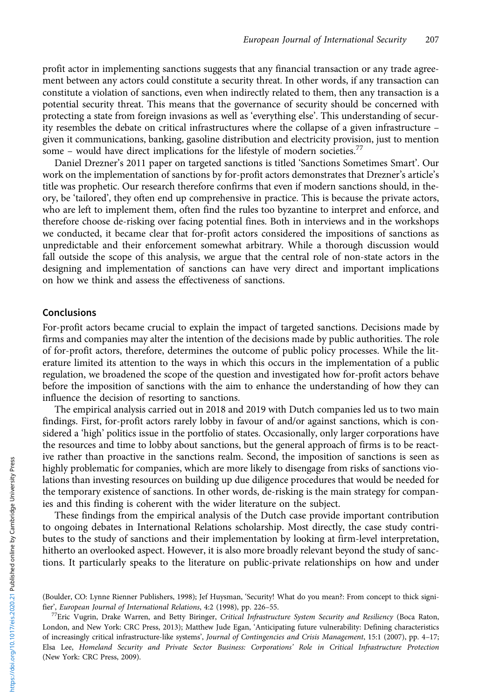profit actor in implementing sanctions suggests that any financial transaction or any trade agreement between any actors could constitute a security threat. In other words, if any transaction can constitute a violation of sanctions, even when indirectly related to them, then any transaction is a potential security threat. This means that the governance of security should be concerned with protecting a state from foreign invasions as well as 'everything else'. This understanding of security resembles the debate on critical infrastructures where the collapse of a given infrastructure – given it communications, banking, gasoline distribution and electricity provision, just to mention some – would have direct implications for the lifestyle of modern societies.<sup>77</sup>

Daniel Drezner's 2011 paper on targeted sanctions is titled 'Sanctions Sometimes Smart'. Our work on the implementation of sanctions by for-profit actors demonstrates that Drezner's article's title was prophetic. Our research therefore confirms that even if modern sanctions should, in theory, be 'tailored', they often end up comprehensive in practice. This is because the private actors, who are left to implement them, often find the rules too byzantine to interpret and enforce, and therefore choose de-risking over facing potential fines. Both in interviews and in the workshops we conducted, it became clear that for-profit actors considered the impositions of sanctions as unpredictable and their enforcement somewhat arbitrary. While a thorough discussion would fall outside the scope of this analysis, we argue that the central role of non-state actors in the designing and implementation of sanctions can have very direct and important implications on how we think and assess the effectiveness of sanctions.

# Conclusions

For-profit actors became crucial to explain the impact of targeted sanctions. Decisions made by firms and companies may alter the intention of the decisions made by public authorities. The role of for-profit actors, therefore, determines the outcome of public policy processes. While the literature limited its attention to the ways in which this occurs in the implementation of a public regulation, we broadened the scope of the question and investigated how for-profit actors behave before the imposition of sanctions with the aim to enhance the understanding of how they can influence the decision of resorting to sanctions.

The empirical analysis carried out in 2018 and 2019 with Dutch companies led us to two main findings. First, for-profit actors rarely lobby in favour of and/or against sanctions, which is considered a 'high' politics issue in the portfolio of states. Occasionally, only larger corporations have the resources and time to lobby about sanctions, but the general approach of firms is to be reactive rather than proactive in the sanctions realm. Second, the imposition of sanctions is seen as highly problematic for companies, which are more likely to disengage from risks of sanctions violations than investing resources on building up due diligence procedures that would be needed for the temporary existence of sanctions. In other words, de-risking is the main strategy for companies and this finding is coherent with the wider literature on the subject.

These findings from the empirical analysis of the Dutch case provide important contribution to ongoing debates in International Relations scholarship. Most directly, the case study contributes to the study of sanctions and their implementation by looking at firm-level interpretation, hitherto an overlooked aspect. However, it is also more broadly relevant beyond the study of sanctions. It particularly speaks to the literature on public-private relationships on how and under

<sup>(</sup>Boulder, CO: Lynne Rienner Publishers, 1998); Jef Huysman, 'Security! What do you mean?: From concept to thick signi-<br>fier', European Journal of International Relations, 4:2 (1998), pp. 226-55.

<sup>&</sup>lt;sup>77</sup>Eric Vugrin, Drake Warren, and Betty Biringer, Critical Infrastructure System Security and Resiliency (Boca Raton, London, and New York: CRC Press, 2013); Matthew Jude Egan, 'Anticipating future vulnerability: Defining characteristics of increasingly critical infrastructure-like systems', Journal of Contingencies and Crisis Management, 15:1 (2007), pp. 4–17; Elsa Lee, Homeland Security and Private Sector Business: Corporations' Role in Critical Infrastructure Protection (New York: CRC Press, 2009).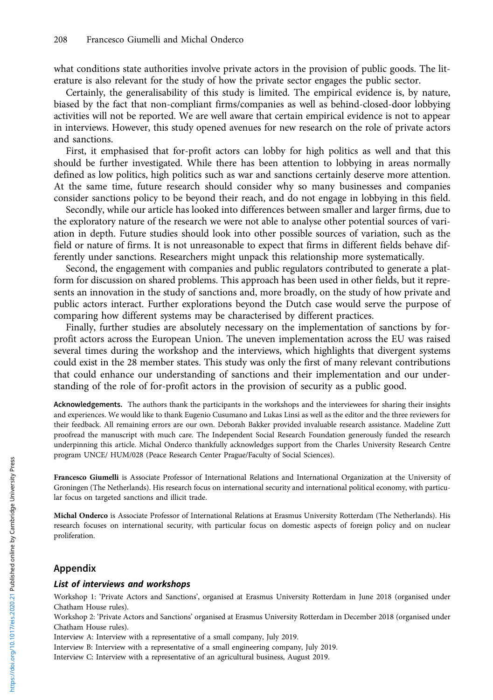what conditions state authorities involve private actors in the provision of public goods. The literature is also relevant for the study of how the private sector engages the public sector.

Certainly, the generalisability of this study is limited. The empirical evidence is, by nature, biased by the fact that non-compliant firms/companies as well as behind-closed-door lobbying activities will not be reported. We are well aware that certain empirical evidence is not to appear in interviews. However, this study opened avenues for new research on the role of private actors and sanctions.

First, it emphasised that for-profit actors can lobby for high politics as well and that this should be further investigated. While there has been attention to lobbying in areas normally defined as low politics, high politics such as war and sanctions certainly deserve more attention. At the same time, future research should consider why so many businesses and companies consider sanctions policy to be beyond their reach, and do not engage in lobbying in this field.

Secondly, while our article has looked into differences between smaller and larger firms, due to the exploratory nature of the research we were not able to analyse other potential sources of variation in depth. Future studies should look into other possible sources of variation, such as the field or nature of firms. It is not unreasonable to expect that firms in different fields behave differently under sanctions. Researchers might unpack this relationship more systematically.

Second, the engagement with companies and public regulators contributed to generate a platform for discussion on shared problems. This approach has been used in other fields, but it represents an innovation in the study of sanctions and, more broadly, on the study of how private and public actors interact. Further explorations beyond the Dutch case would serve the purpose of comparing how different systems may be characterised by different practices.

Finally, further studies are absolutely necessary on the implementation of sanctions by forprofit actors across the European Union. The uneven implementation across the EU was raised several times during the workshop and the interviews, which highlights that divergent systems could exist in the 28 member states. This study was only the first of many relevant contributions that could enhance our understanding of sanctions and their implementation and our understanding of the role of for-profit actors in the provision of security as a public good.

Acknowledgements. The authors thank the participants in the workshops and the interviewees for sharing their insights and experiences. We would like to thank Eugenio Cusumano and Lukas Linsi as well as the editor and the three reviewers for their feedback. All remaining errors are our own. Deborah Bakker provided invaluable research assistance. Madeline Zutt proofread the manuscript with much care. The Independent Social Research Foundation generously funded the research underpinning this article. Michal Onderco thankfully acknowledges support from the Charles University Research Centre program UNCE/ HUM/028 (Peace Research Center Prague/Faculty of Social Sciences).

Francesco Giumelli is Associate Professor of International Relations and International Organization at the University of Groningen (The Netherlands). His research focus on international security and international political economy, with particular focus on targeted sanctions and illicit trade.

Michal Onderco is Associate Professor of International Relations at Erasmus University Rotterdam (The Netherlands). His research focuses on international security, with particular focus on domestic aspects of foreign policy and on nuclear proliferation.

# Appendix

## List of interviews and workshops

Workshop 1: 'Private Actors and Sanctions', organised at Erasmus University Rotterdam in June 2018 (organised under Chatham House rules).

Workshop 2: 'Private Actors and Sanctions' organised at Erasmus University Rotterdam in December 2018 (organised under Chatham House rules).

Interview A: Interview with a representative of a small company, July 2019.

Interview B: Interview with a representative of a small engineering company, July 2019.

Interview C: Interview with a representative of an agricultural business, August 2019.